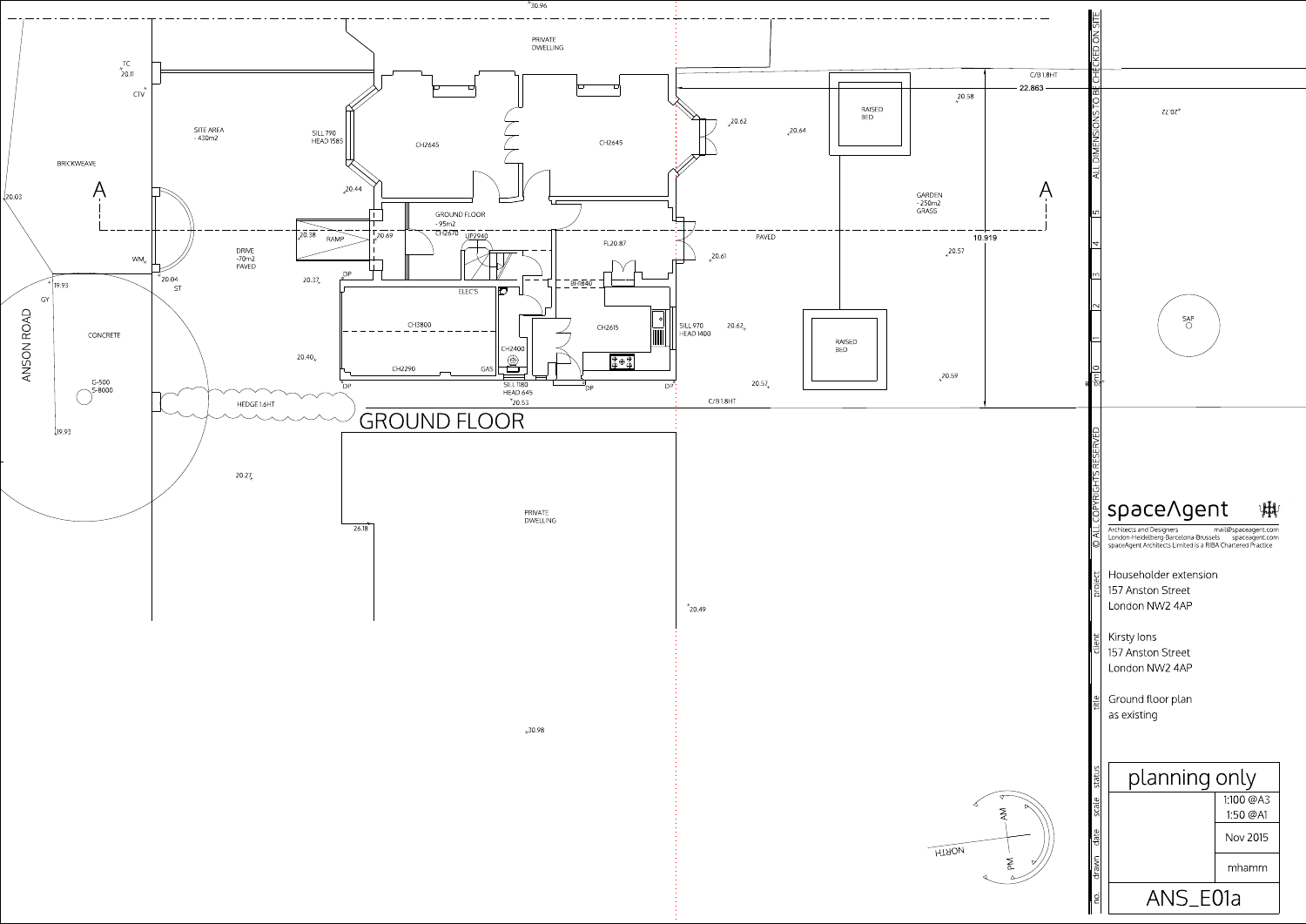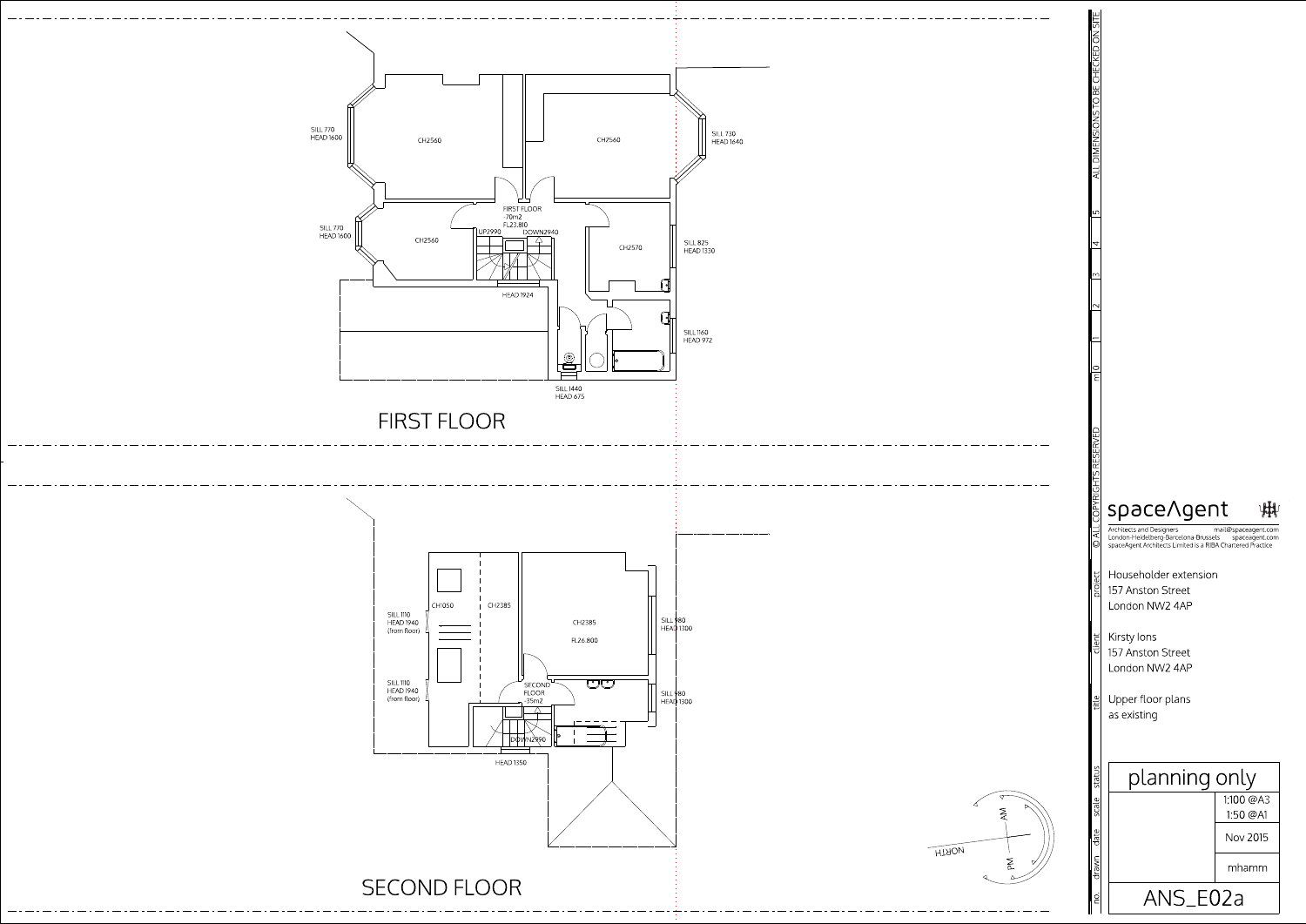

Upper floor plans as existing drawn date scale status – title – client then

Householder extension 157 Anston Street London NW2 4AP

Kirsty Ions 157 Anston Street London NW2 4AP

mail@spaceagent.com Architects and Designers London-Heidelberg-Barcelona-Brussels spaceagent.com<br>spaceAgent Architects Limited is a RIBA Chartered Practice



| planning only |                     |
|---------------|---------------------|
|               | 1100 @A3<br>150 @A1 |
|               | Nov 2015            |
|               | mhamm               |
| ANS E02a      |                     |

ALLDIM ENSIONSTO BECHECKED ON SITE

Y.

 $\frac{2}{15}$   $\frac{13}{14}$   $\frac{15}{12}$ 

 $\overline{\phantom{1}}$ 

no.

status



©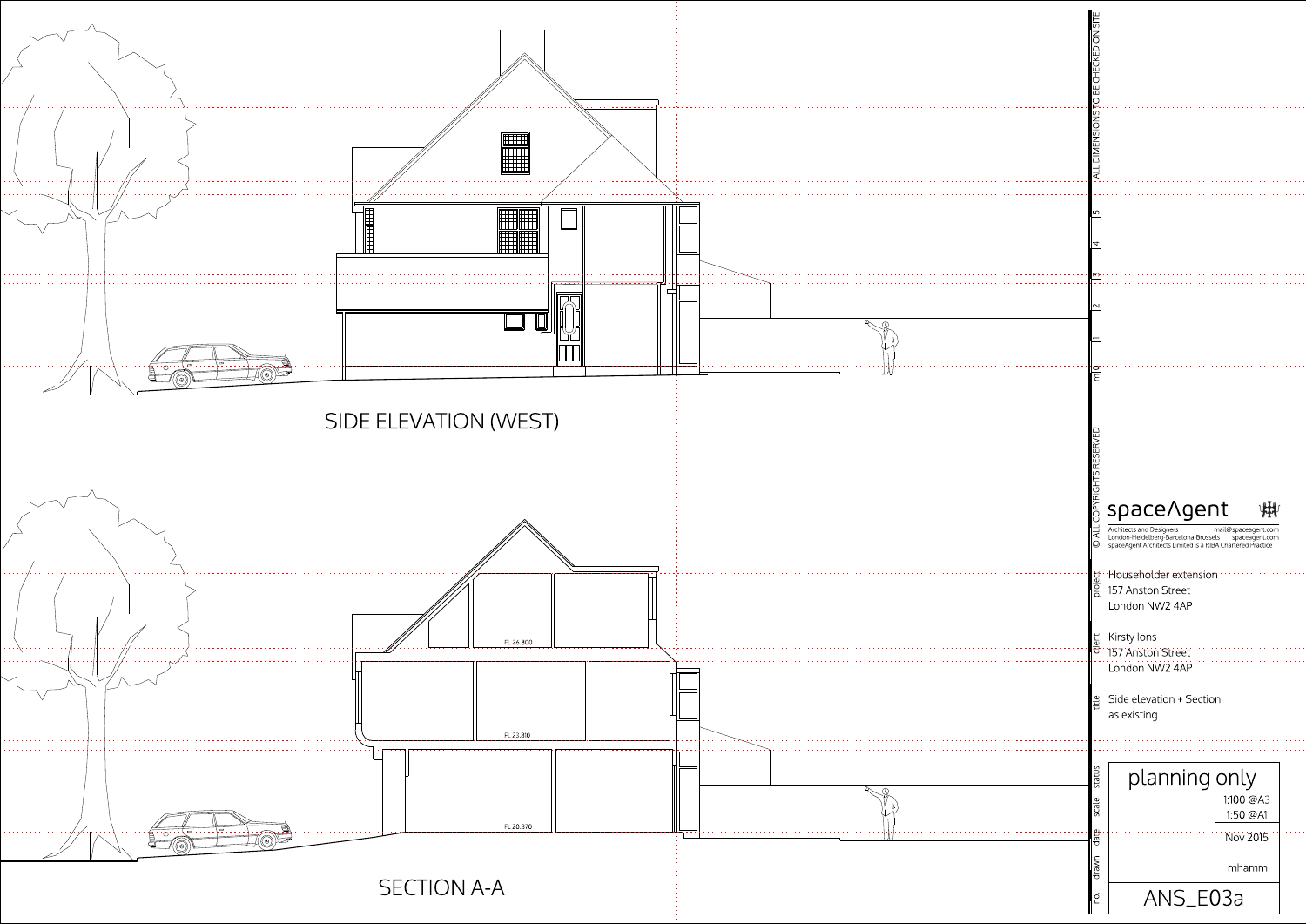